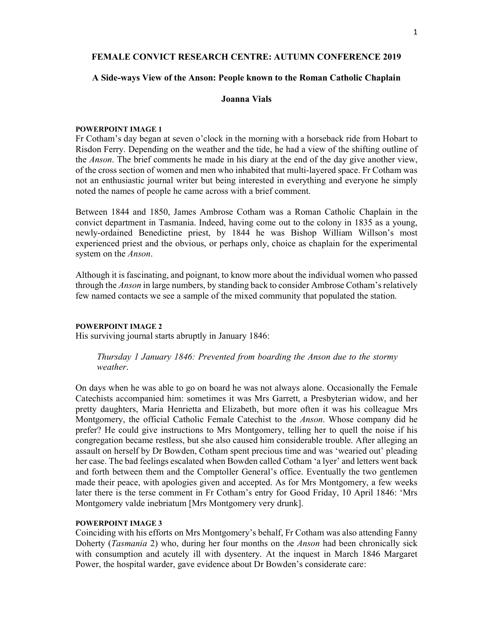#### FEMALE CONVICT RESEARCH CENTRE: AUTUMN CONFERENCE 2019

### A Side-ways View of the Anson: People known to the Roman Catholic Chaplain

#### Joanna Vials

## POWERPOINT IMAGE 1

Fr Cotham's day began at seven o'clock in the morning with a horseback ride from Hobart to Risdon Ferry. Depending on the weather and the tide, he had a view of the shifting outline of the *Anson*. The brief comments he made in his diary at the end of the day give another view, of the cross section of women and men who inhabited that multi-layered space. Fr Cotham was not an enthusiastic journal writer but being interested in everything and everyone he simply noted the names of people he came across with a brief comment.

Between 1844 and 1850, James Ambrose Cotham was a Roman Catholic Chaplain in the convict department in Tasmania. Indeed, having come out to the colony in 1835 as a young, newly-ordained Benedictine priest, by 1844 he was Bishop William Willson's most experienced priest and the obvious, or perhaps only, choice as chaplain for the experimental system on the Anson.

Although it is fascinating, and poignant, to know more about the individual women who passed through the *Anson* in large numbers, by standing back to consider Ambrose Cotham's relatively few named contacts we see a sample of the mixed community that populated the station.

#### POWERPOINT IMAGE 2

His surviving journal starts abruptly in January 1846:

# Thursday 1 January 1846: Prevented from boarding the Anson due to the stormy weather.

On days when he was able to go on board he was not always alone. Occasionally the Female Catechists accompanied him: sometimes it was Mrs Garrett, a Presbyterian widow, and her pretty daughters, Maria Henrietta and Elizabeth, but more often it was his colleague Mrs Montgomery, the official Catholic Female Catechist to the *Anson*. Whose company did he prefer? He could give instructions to Mrs Montgomery, telling her to quell the noise if his congregation became restless, but she also caused him considerable trouble. After alleging an assault on herself by Dr Bowden, Cotham spent precious time and was 'wearied out' pleading her case. The bad feelings escalated when Bowden called Cotham 'a lyer' and letters went back and forth between them and the Comptoller General's office. Eventually the two gentlemen made their peace, with apologies given and accepted. As for Mrs Montgomery, a few weeks later there is the terse comment in Fr Cotham's entry for Good Friday, 10 April 1846: 'Mrs Montgomery valde inebriatum [Mrs Montgomery very drunk].

#### POWERPOINT IMAGE 3

Coinciding with his efforts on Mrs Montgomery's behalf, Fr Cotham was also attending Fanny Doherty (*Tasmania* 2) who, during her four months on the *Anson* had been chronically sick with consumption and acutely ill with dysentery. At the inquest in March 1846 Margaret Power, the hospital warder, gave evidence about Dr Bowden's considerate care: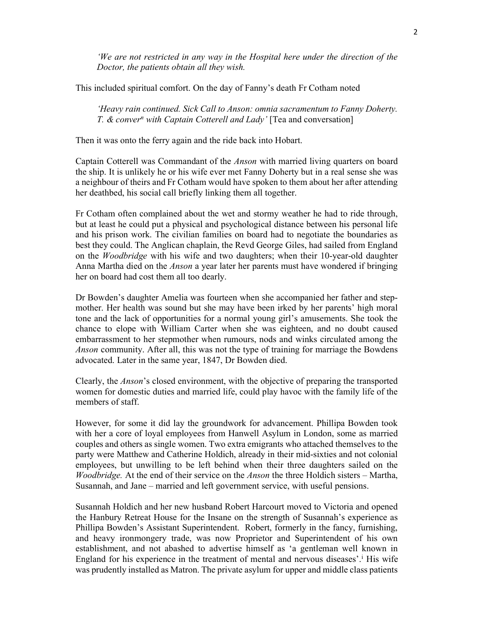'We are not restricted in any way in the Hospital here under the direction of the Doctor, the patients obtain all they wish.

This included spiritual comfort. On the day of Fanny's death Fr Cotham noted

'Heavy rain continued. Sick Call to Anson: omnia sacramentum to Fanny Doherty. T. & conver<sup>n</sup> with Captain Cotterell and Lady' [Tea and conversation]

Then it was onto the ferry again and the ride back into Hobart.

Captain Cotterell was Commandant of the Anson with married living quarters on board the ship. It is unlikely he or his wife ever met Fanny Doherty but in a real sense she was a neighbour of theirs and Fr Cotham would have spoken to them about her after attending her deathbed, his social call briefly linking them all together.

Fr Cotham often complained about the wet and stormy weather he had to ride through, but at least he could put a physical and psychological distance between his personal life and his prison work. The civilian families on board had to negotiate the boundaries as best they could. The Anglican chaplain, the Revd George Giles, had sailed from England on the *Woodbridge* with his wife and two daughters; when their 10-year-old daughter Anna Martha died on the *Anson* a year later her parents must have wondered if bringing her on board had cost them all too dearly.

Dr Bowden's daughter Amelia was fourteen when she accompanied her father and stepmother. Her health was sound but she may have been irked by her parents' high moral tone and the lack of opportunities for a normal young girl's amusements. She took the chance to elope with William Carter when she was eighteen, and no doubt caused embarrassment to her stepmother when rumours, nods and winks circulated among the Anson community. After all, this was not the type of training for marriage the Bowdens advocated. Later in the same year, 1847, Dr Bowden died.

Clearly, the Anson's closed environment, with the objective of preparing the transported women for domestic duties and married life, could play havoc with the family life of the members of staff.

However, for some it did lay the groundwork for advancement. Phillipa Bowden took with her a core of loyal employees from Hanwell Asylum in London, some as married couples and others as single women. Two extra emigrants who attached themselves to the party were Matthew and Catherine Holdich, already in their mid-sixties and not colonial employees, but unwilling to be left behind when their three daughters sailed on the Woodbridge. At the end of their service on the Anson the three Holdich sisters – Martha, Susannah, and Jane – married and left government service, with useful pensions.

Susannah Holdich and her new husband Robert Harcourt moved to Victoria and opened the Hanbury Retreat House for the Insane on the strength of Susannah's experience as Phillipa Bowden's Assistant Superintendent. Robert, formerly in the fancy, furnishing, and heavy ironmongery trade, was now Proprietor and Superintendent of his own establishment, and not abashed to advertise himself as 'a gentleman well known in England for his experience in the treatment of mental and nervous diseases'.<sup>i</sup> His wife was prudently installed as Matron. The private asylum for upper and middle class patients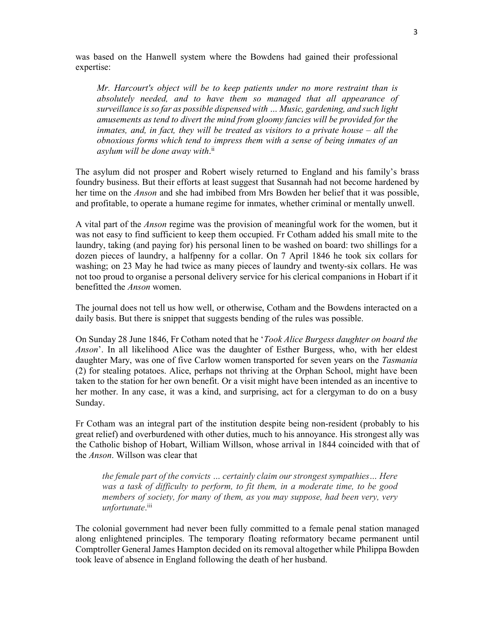was based on the Hanwell system where the Bowdens had gained their professional expertise:

Mr. Harcourt's object will be to keep patients under no more restraint than is absolutely needed, and to have them so managed that all appearance of surveillance is so far as possible dispensed with … Music, gardening, and such light amusements as tend to divert the mind from gloomy fancies will be provided for the inmates, and, in fact, they will be treated as visitors to a private house – all the obnoxious forms which tend to impress them with a sense of being inmates of an asylum will be done away with.<sup>ii</sup>

The asylum did not prosper and Robert wisely returned to England and his family's brass foundry business. But their efforts at least suggest that Susannah had not become hardened by her time on the *Anson* and she had imbibed from Mrs Bowden her belief that it was possible, and profitable, to operate a humane regime for inmates, whether criminal or mentally unwell.

A vital part of the Anson regime was the provision of meaningful work for the women, but it was not easy to find sufficient to keep them occupied. Fr Cotham added his small mite to the laundry, taking (and paying for) his personal linen to be washed on board: two shillings for a dozen pieces of laundry, a halfpenny for a collar. On 7 April 1846 he took six collars for washing; on 23 May he had twice as many pieces of laundry and twenty-six collars. He was not too proud to organise a personal delivery service for his clerical companions in Hobart if it benefitted the Anson women.

The journal does not tell us how well, or otherwise, Cotham and the Bowdens interacted on a daily basis. But there is snippet that suggests bending of the rules was possible.

On Sunday 28 June 1846, Fr Cotham noted that he 'Took Alice Burgess daughter on board the Anson'. In all likelihood Alice was the daughter of Esther Burgess, who, with her eldest daughter Mary, was one of five Carlow women transported for seven years on the Tasmania (2) for stealing potatoes. Alice, perhaps not thriving at the Orphan School, might have been taken to the station for her own benefit. Or a visit might have been intended as an incentive to her mother. In any case, it was a kind, and surprising, act for a clergyman to do on a busy Sunday.

Fr Cotham was an integral part of the institution despite being non-resident (probably to his great relief) and overburdened with other duties, much to his annoyance. His strongest ally was the Catholic bishop of Hobart, William Willson, whose arrival in 1844 coincided with that of the *Anson*. Willson was clear that

the female part of the convicts … certainly claim our strongest sympathies… Here was a task of difficulty to perform, to fit them, in a moderate time, to be good members of society, for many of them, as you may suppose, had been very, very unfortunate.<sup>iii</sup>

The colonial government had never been fully committed to a female penal station managed along enlightened principles. The temporary floating reformatory became permanent until Comptroller General James Hampton decided on its removal altogether while Philippa Bowden took leave of absence in England following the death of her husband.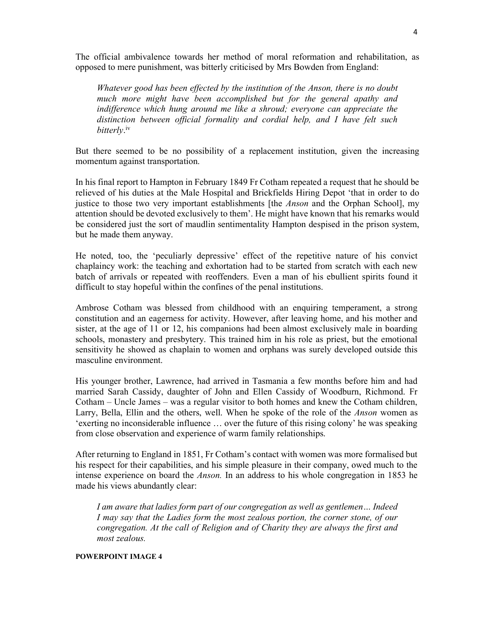The official ambivalence towards her method of moral reformation and rehabilitation, as opposed to mere punishment, was bitterly criticised by Mrs Bowden from England:

Whatever good has been effected by the institution of the Anson, there is no doubt much more might have been accomplished but for the general apathy and indifference which hung around me like a shroud; everyone can appreciate the distinction between official formality and cordial help, and I have felt such bitterly.<sup>iv</sup>

But there seemed to be no possibility of a replacement institution, given the increasing momentum against transportation.

In his final report to Hampton in February 1849 Fr Cotham repeated a request that he should be relieved of his duties at the Male Hospital and Brickfields Hiring Depot 'that in order to do justice to those two very important establishments [the *Anson* and the Orphan School], my attention should be devoted exclusively to them'. He might have known that his remarks would be considered just the sort of maudlin sentimentality Hampton despised in the prison system, but he made them anyway.

He noted, too, the 'peculiarly depressive' effect of the repetitive nature of his convict chaplaincy work: the teaching and exhortation had to be started from scratch with each new batch of arrivals or repeated with reoffenders. Even a man of his ebullient spirits found it difficult to stay hopeful within the confines of the penal institutions.

Ambrose Cotham was blessed from childhood with an enquiring temperament, a strong constitution and an eagerness for activity. However, after leaving home, and his mother and sister, at the age of 11 or 12, his companions had been almost exclusively male in boarding schools, monastery and presbytery. This trained him in his role as priest, but the emotional sensitivity he showed as chaplain to women and orphans was surely developed outside this masculine environment.

His younger brother, Lawrence, had arrived in Tasmania a few months before him and had married Sarah Cassidy, daughter of John and Ellen Cassidy of Woodburn, Richmond. Fr Cotham – Uncle James – was a regular visitor to both homes and knew the Cotham children, Larry, Bella, Ellin and the others, well. When he spoke of the role of the Anson women as 'exerting no inconsiderable influence … over the future of this rising colony' he was speaking from close observation and experience of warm family relationships.

After returning to England in 1851, Fr Cotham's contact with women was more formalised but his respect for their capabilities, and his simple pleasure in their company, owed much to the intense experience on board the Anson. In an address to his whole congregation in 1853 he made his views abundantly clear:

I am aware that ladies form part of our congregation as well as gentlemen… Indeed I may say that the Ladies form the most zealous portion, the corner stone, of our congregation. At the call of Religion and of Charity they are always the first and most zealous.

## POWERPOINT IMAGE 4